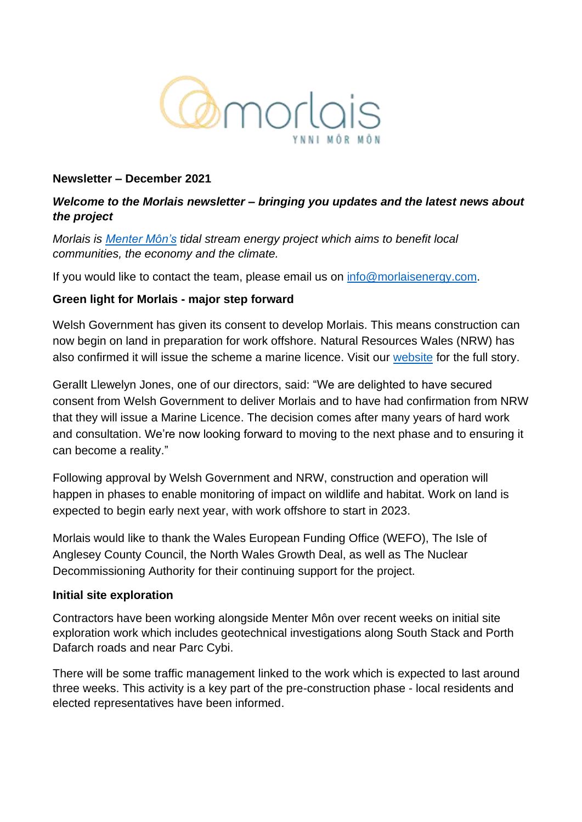

#### **Newsletter – December 2021**

#### *Welcome to the Morlais newsletter – bringing you updates and the latest news about the project*

*Morlais is [Menter Môn's](https://www.mentermon.com/en/) tidal stream energy project which aims to benefit local communities, the economy and the climate.*

If you would like to contact the team, please email us on [info@morlaisenergy.com.](mailto:info@morlaisenergy.com)

#### **Green light for Morlais - major step forward**

Welsh Government has given its consent to develop Morlais. This means construction can now begin on land in preparation for work offshore. Natural Resources Wales (NRW) has also confirmed it will issue the scheme a marine licence. Visit our [website](https://www.morlaisenergy.com/tidal-energy-project-gets-government-go-ahead/) for the full story.

Gerallt Llewelyn Jones, one of our directors, said: "We are delighted to have secured consent from Welsh Government to deliver Morlais and to have had confirmation from NRW that they will issue a Marine Licence. The decision comes after many years of hard work and consultation. We're now looking forward to moving to the next phase and to ensuring it can become a reality."

Following approval by Welsh Government and NRW, construction and operation will happen in phases to enable monitoring of impact on wildlife and habitat. Work on land is expected to begin early next year, with work offshore to start in 2023.

Morlais would like to thank the Wales European Funding Office (WEFO), The Isle of Anglesey County Council, the North Wales Growth Deal, as well as The Nuclear Decommissioning Authority for their continuing support for the project.

#### **Initial site exploration**

Contractors have been working alongside Menter Môn over recent weeks on initial site exploration work which includes geotechnical investigations along South Stack and Porth Dafarch roads and near Parc Cybi.

There will be some traffic management linked to the work which is expected to last around three weeks. This activity is a key part of the pre-construction phase - local residents and elected representatives have been informed.